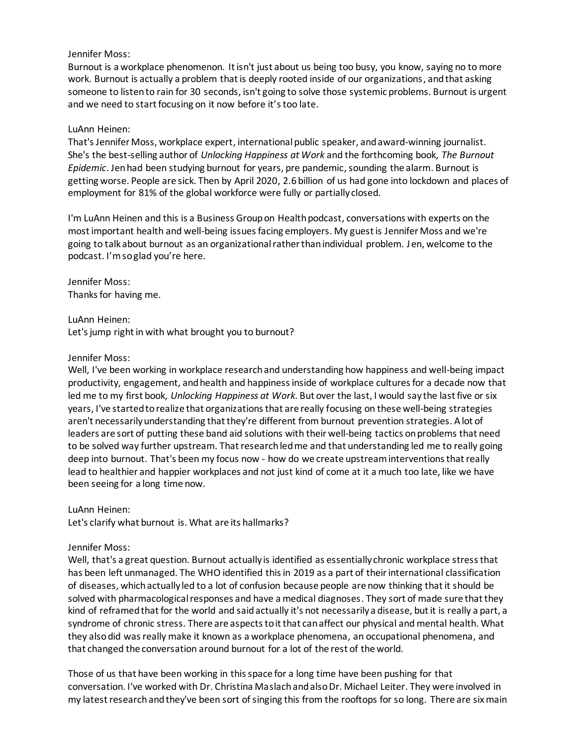## Jennifer Moss:

Burnout is a workplace phenomenon. It isn't just about us being too busy, you know, saying no to more work. Burnout is actually a problem that is deeply rooted inside of our organizations, and that asking someone to listen to rain for 30 seconds, isn't going to solve those systemic problems. Burnout is urgent and we need to start focusing on it now before it's too late.

## LuAnn Heinen:

That's Jennifer Moss, workplace expert, international public speaker, and award-winning journalist. She's the best-selling author of *Unlocking Happiness at Work* and the forthcoming book, *The Burnout Epidemic*. Jen had been studying burnout for years, pre pandemic, sounding the alarm. Burnout is getting worse. People are sick. Then by April 2020, 2.6 billion of us had gone into lockdown and places of employment for 81% of the global workforce were fully or partially closed.

I'm LuAnn Heinen and this is a Business Group on Health podcast, conversations with experts on the most important health and well-being issues facing employers. My guest is Jennifer Moss and we're going to talk about burnout as an organizational rather than individual problem. Jen, welcome to the podcast. I'm so glad you're here.

Jennifer Moss: Thanks for having me.

LuAnn Heinen:

Let's jump right in with what brought you to burnout?

# Jennifer Moss:

Well, I've been working in workplace research and understanding how happiness and well-being impact productivity, engagement, and health and happiness inside of workplace cultures for a decade now that led me to my first book, *Unlocking Happiness at Work*. But over the last, I would say the last five or six years, I've started to realize that organizations that are really focusing on these well-being strategies aren't necessarily understanding that they're different from burnout prevention strategies. A lot of leaders are sort of putting these band aid solutions with their well-being tactics on problems that need to be solved way further upstream. That research led me and that understanding led me to really going deep into burnout. That's been my focus now - how do we create upstream interventions that really lead to healthier and happier workplaces and not just kind of come at it a much too late, like we have been seeing for a long time now.

LuAnn Heinen:

Let's clarify what burnout is. What are its hallmarks?

# Jennifer Moss:

Well, that's a great question. Burnout actually is identified as essentially chronic workplace stress that has been left unmanaged. The WHO identified this in 2019 as a part of their international classification of diseases, which actually led to a lot of confusion because people are now thinking that it should be solved with pharmacological responses and have a medical diagnoses. They sort of made sure that they kind of reframed that for the world and said actually it's not necessarily a disease, but it is really a part, a syndrome of chronic stress. There are aspects to it that can affect our physical and mental health. What they also did was really make it known as a workplace phenomena, an occupational phenomena, and that changed the conversation around burnout for a lot of the rest of the world.

Those of us that have been working in this space for a long time have been pushing for that conversation. I've worked with Dr. Christina Maslachand also Dr. Michael Leiter. They were involved in my latest research and they've been sort of singing this from the rooftops for so long. There are six main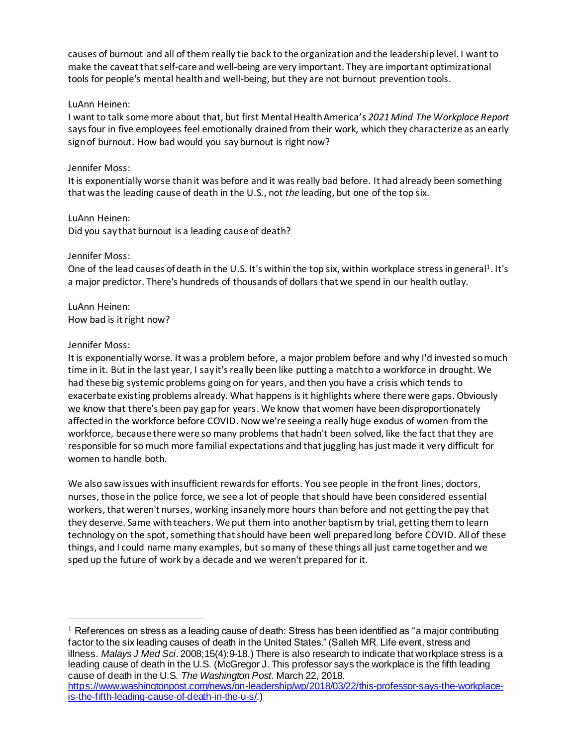causes of burnout and all of them really tie back to the organization and the leadership level. I want to make the caveat that self-care and well-being are very important. They are important optimizational tools for people's mental health and well-being, but they are not burnout prevention tools.

# LuAnn Heinen:

I want to talk some more about that, but first Mental Health America's *2021 Mind The Workplace Report* says four in five employees feel emotionally drained from their work, which they characterize as an early sign of burnout. How bad would you say burnout is right now?

# Jennifer Moss:

It is exponentially worse than it was before and it was really bad before. It had already been something that was the leading cause of death in the U.S., not *the* leading, but one of the top six.

# LuAnn Heinen:

Did you say that burnout is a leading cause of death?

# Jennifer Moss:

One of the lead causes of death in the U.S. It's within the top six, within workplace stress in general<sup>1</sup>. It's a major predictor. There's hundreds of thousands of dollars that we spend in our health outlay.

LuAnn Heinen: How bad is it right now?

# Jennifer Moss:

It is exponentially worse. It was a problem before, a major problem before and why I'd invested so much time in it. But in the last year, I say it's really been like putting a match to a workforce in drought. We had these big systemic problems going on for years, and then you have a crisis which tends to exacerbate existing problems already. What happens is it highlights where there were gaps. Obviously we know that there's been pay gap for years. We know that women have been disproportionately affected in the workforce before COVID. Now we're seeing a really huge exodus of women from the workforce, because there were so many problems that hadn't been solved, like the fact that they are responsible for so much more familial expectations and that juggling has just made it very difficult for women to handle both.

We also saw issues with insufficient rewards for efforts. You see people in the front lines, doctors, nurses, those in the police force, we see a lot of people that should have been considered essential workers, that weren't nurses, working insanely more hours than before and not getting the pay that they deserve. Same with teachers. We put them into another baptism by trial, getting them to learn technology on the spot, something that should have been well prepared long before COVID. All of these things, and I could name many examples, but so many of these things all just came together and we sped up the future of work by a decade and we weren't prepared for it.

 $<sup>1</sup>$  References on stress as a leading cause of death: Stress has been identified as "a major contributing</sup> factor to the six leading causes of death in the United States." (Salleh MR. Life event, stress and illness. *Malays J Med Sci*. 2008;15(4):9-18.) There is also research to indicate that workplace stress is a leading cause of death in the U.S. [\(McGregor](https://www.washingtonpost.com/people/jena-mcgregor/) J. This professor says the workplace is the fifth leading cause of death in the U.S. *The Washington Post.* March 22, 2018.

[https://www.washingtonpost.com/news/on-leadership/wp/2018/03/22/this-professor-says-the-workplace](https://www.washingtonpost.com/news/on-leadership/wp/2018/03/22/this-professor-says-the-workplace-is-the-fifth-leading-cause-of-death-in-the-u-s/)[is-the-fifth-leading-cause-of-death-in-the-u-s/](https://www.washingtonpost.com/news/on-leadership/wp/2018/03/22/this-professor-says-the-workplace-is-the-fifth-leading-cause-of-death-in-the-u-s/).)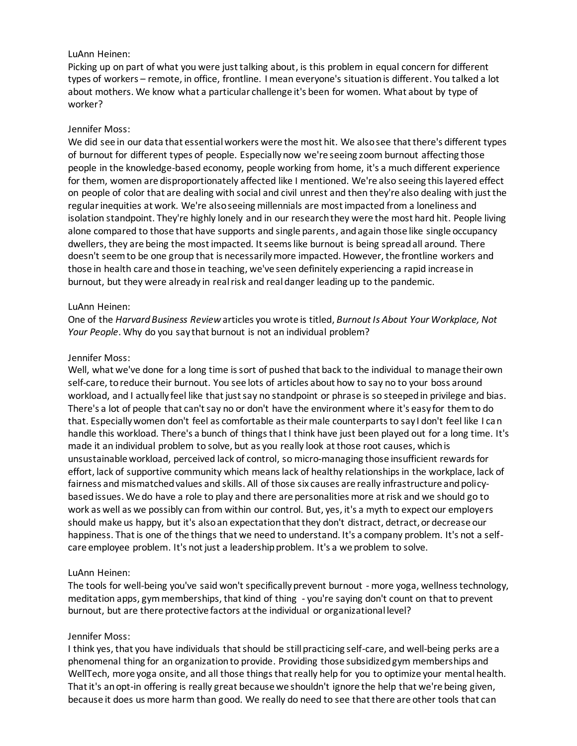## LuAnn Heinen:

Picking up on part of what you were just talking about, is this problem in equal concern for different types of workers – remote, in office, frontline. I mean everyone's situation is different. You talked a lot about mothers. We know what a particular challenge it's been for women. What about by type of worker?

## Jennifer Moss:

We did see in our data that essential workers were the most hit. We also see that there's different types of burnout for different types of people. Especially now we're seeing zoom burnout affecting those people in the knowledge-based economy, people working from home, it's a much different experience for them, women are disproportionately affected like I mentioned. We're also seeing this layered effect on people of color that are dealing with social and civil unrest and then they're also dealing with just the regular inequities at work. We're also seeing millennials are most impacted from a loneliness and isolation standpoint. They're highly lonely and in our research they were the most hard hit. People living alone compared to those that have supports and single parents, and again those like single occupancy dwellers, they are being the most impacted. It seems like burnout is being spread all around. There doesn't seem to be one group that is necessarily more impacted. However, the frontline workers and those in health care and those in teaching, we've seen definitely experiencing a rapid increase in burnout, but they were already in real risk and real danger leading up to the pandemic.

## LuAnn Heinen:

One of the *Harvard Business Review* articles you wrote is titled, *Burnout Is About Your Workplace, Not Your People*. Why do you say that burnout is not an individual problem?

## Jennifer Moss:

Well, what we've done for a long time is sort of pushed that back to the individual to manage their own self-care, to reduce their burnout. You see lots of articles about how to say no to your boss around workload, and I actually feel like that just say no standpoint or phrase is so steeped in privilege and bias. There's a lot of people that can't say no or don't have the environment where it's easy for them to do that. Especially women don't feel as comfortable as their male counterparts to say I don't feel like I can handle this workload. There's a bunch of things that I think have just been played out for a long time. It's made it an individual problem to solve, but as you really look at those root causes, which is unsustainable workload, perceived lack of control, so micro-managing those insufficient rewards for effort, lack of supportive community which means lack of healthy relationships in the workplace, lack of fairness and mismatched values and skills. All of those six causes are really infrastructure and policybased issues. We do have a role to play and there are personalities more at risk and we should go to work as well as we possibly can from within our control. But, yes, it's a myth to expect our employers should make us happy, but it's also an expectation that they don't distract, detract, or decrease our happiness. That is one of the things that we need to understand. It's a company problem. It's not a selfcare employee problem. It's not just a leadership problem. It's a we problem to solve.

# LuAnn Heinen:

The tools for well-being you've said won't specifically prevent burnout - more yoga, wellness technology, meditation apps, gym memberships, that kind of thing - you're saying don't count on that to prevent burnout, but are there protective factors at the individual or organizational level?

#### Jennifer Moss:

I think yes, that you have individuals that should be still practicing self-care, and well-being perks are a phenomenal thing for an organization to provide. Providing those subsidized gym memberships and WellTech, more yoga onsite, and all those things that really help for you to optimize your mental health. That it's an opt-in offering is really great because we shouldn't ignore the help that we're being given, because it does us more harm than good. We really do need to see that there are other tools that can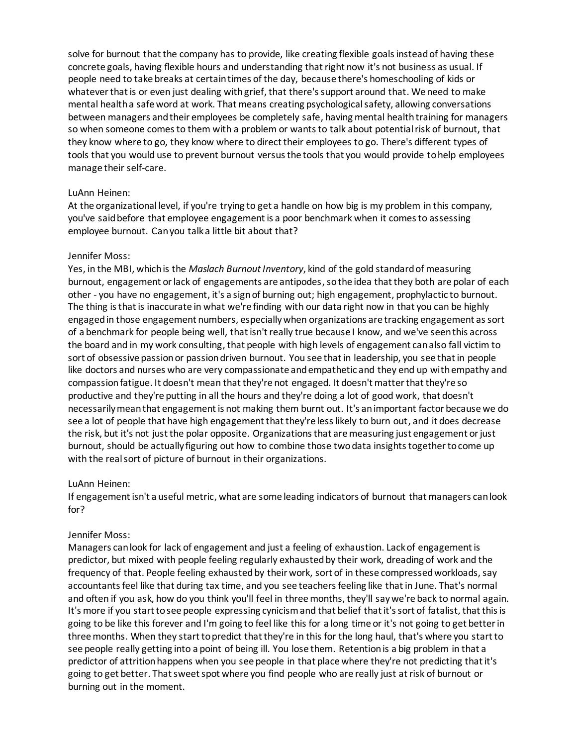solve for burnout that the company has to provide, like creating flexible goals instead of having these concrete goals, having flexible hours and understanding that right now it's not business as usual. If people need to take breaks at certain times of the day, because there's homeschooling of kids or whatever that is or even just dealing with grief, that there's support around that. We need to make mental health a safe word at work. That means creating psychological safety, allowing conversations between managers and their employees be completely safe, having mental health training for managers so when someone comes to them with a problem or wants to talk about potential risk of burnout, that they know where to go, they know where to direct their employees to go. There's different types of tools that you would use to prevent burnout versus the tools that you would provide to help employees manage their self-care.

## LuAnn Heinen:

At the organizational level, if you're trying to get a handle on how big is my problem in this company, you've said before that employee engagement is a poor benchmark when it comes to assessing employee burnout. Can you talk a little bit about that?

## Jennifer Moss:

Yes, in the MBI, which is the *Maslach Burnout Inventory*, kind of the gold standard of measuring burnout, engagement or lack of engagements are antipodes, sothe idea that they both are polar of each other - you have no engagement, it's a sign of burning out; high engagement, prophylactic to burnout. The thing is that is inaccurate in what we're finding with our data right now in that you can be highly engaged in those engagement numbers, especially when organizations are tracking engagement as sort of a benchmark for people being well, that isn't really true because I know, and we've seen this across the board and in my work consulting, that people with high levels of engagement can also fall victim to sort of obsessive passion or passion driven burnout. You see that in leadership, you see that in people like doctors and nurses who are very compassionate and empathetic and they end up with empathy and compassion fatigue. It doesn't mean that they're not engaged. It doesn't matter that they're so productive and they're putting in all the hours and they're doing a lot of good work, that doesn't necessarily mean that engagement is not making them burnt out. It's an important factor because we do see a lot of people that have high engagement that they're less likely to burn out, and it does decrease the risk, but it's not just the polar opposite. Organizations that are measuring just engagement or just burnout, should be actually figuring out how to combine those two data insights together to come up with the real sort of picture of burnout in their organizations.

# LuAnn Heinen:

If engagement isn't a useful metric, what are some leading indicators of burnout that managers can look for?

#### Jennifer Moss:

Managers can look for lack of engagement and just a feeling of exhaustion. Lack of engagement is predictor, but mixed with people feeling regularly exhausted by their work, dreading of work and the frequency of that. People feeling exhausted by their work, sort of in these compressed workloads, say accountants feel like that during tax time, and you see teachers feeling like that in June. That's normal and often if you ask, how do you think you'll feel in three months, they'll say we're back to normal again. It's more if you start to see people expressing cynicism and that belief that it's sort of fatalist, that this is going to be like this forever and I'm going to feel like this for a long time or it's not going to get better in three months. When they start to predict that they're in this for the long haul, that's where you start to see people really getting into a point of being ill. You lose them. Retention is a big problem in that a predictor of attrition happens when you see people in that place where they're not predicting that it's going to get better. That sweet spot where you find people who are really just at risk of burnout or burning out in the moment.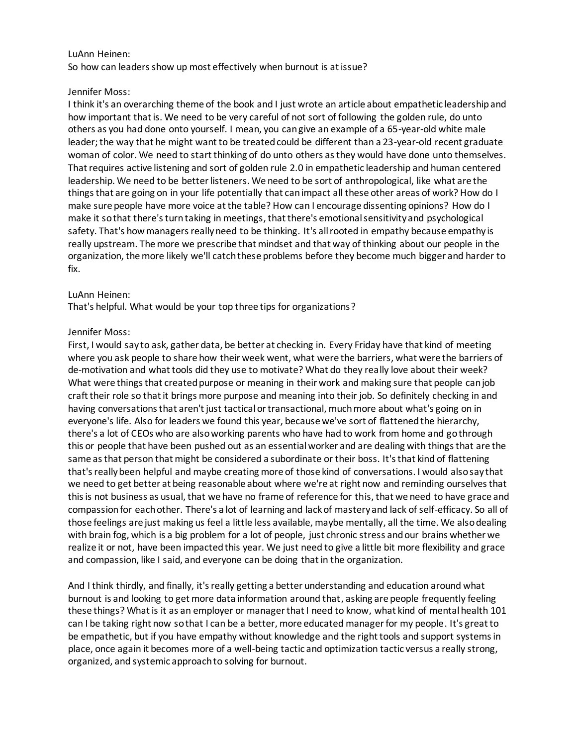## LuAnn Heinen:

So how can leaders show up most effectively when burnout is at issue?

## Jennifer Moss:

I think it's an overarching theme of the book and I just wrote an article about empathetic leadership and how important that is. We need to be very careful of not sort of following the golden rule, do unto others as you had done onto yourself. I mean, you can give an example of a 65-year-old white male leader; the way that he might want to be treated could be different than a 23-year-old recent graduate woman of color. We need to start thinking of do unto others as they would have done unto themselves. That requires active listening and sort of golden rule 2.0 in empathetic leadership and human centered leadership. We need to be better listeners. We need to be sort of anthropological, like what are the things that are going on in your life potentially that can impact all these other areas of work? How do I make sure people have more voice at the table? How can I encourage dissenting opinions? How do I make it so that there's turn taking in meetings, that there's emotional sensitivity and psychological safety. That's how managers really need to be thinking. It's all rooted in empathy because empathy is really upstream. The more we prescribe that mindset and that way of thinking about our people in the organization, the more likely we'll catch these problems before they become much bigger and harder to fix.

## LuAnn Heinen:

That's helpful. What would be your top three tips for organizations?

## Jennifer Moss:

First, I would say to ask, gather data, be better at checking in. Every Friday have that kind of meeting where you ask people to share how their week went, what were the barriers, what were the barriers of de-motivation and what tools did they use to motivate? What do they really love about their week? What were things that created purpose or meaning in their work and making sure that people can job craft their role so that it brings more purpose and meaning into their job. So definitely checking in and having conversations that aren't just tactical or transactional, much more about what's going on in everyone's life. Also for leaders we found this year, because we've sort of flattened the hierarchy, there's a lot of CEOs who are also working parents who have had to work from home and go through this or people that have been pushed out as an essential worker and are dealing with things that are the same as that person that might be considered a subordinate or their boss. It's that kind of flattening that's really been helpful and maybe creating more of those kind of conversations. I would also say that we need to get better at being reasonable about where we're at right now and reminding ourselves that this is not business as usual, that we have no frame of reference for this, that we need to have grace and compassion for each other. There's a lot of learning and lack of mastery and lack of self-efficacy. So all of those feelings are just making us feel a little less available, maybe mentally, all the time. We also dealing with brain fog, which is a big problem for a lot of people, just chronic stress and our brains whether we realize it or not, have been impacted this year. We just need to give a little bit more flexibility and grace and compassion, like I said, and everyone can be doing that in the organization.

And I think thirdly, and finally, it's really getting a better understanding and education around what burnout is and looking to get more data information around that, asking are people frequently feeling these things? What is it as an employer or manager that I need to know, what kind of mental health 101 can I be taking right now so that I can be a better, more educated manager for my people. It's great to be empathetic, but if you have empathy without knowledge and the right tools and support systems in place, once again it becomes more of a well-being tactic and optimization tactic versus a really strong, organized, and systemic approach to solving for burnout.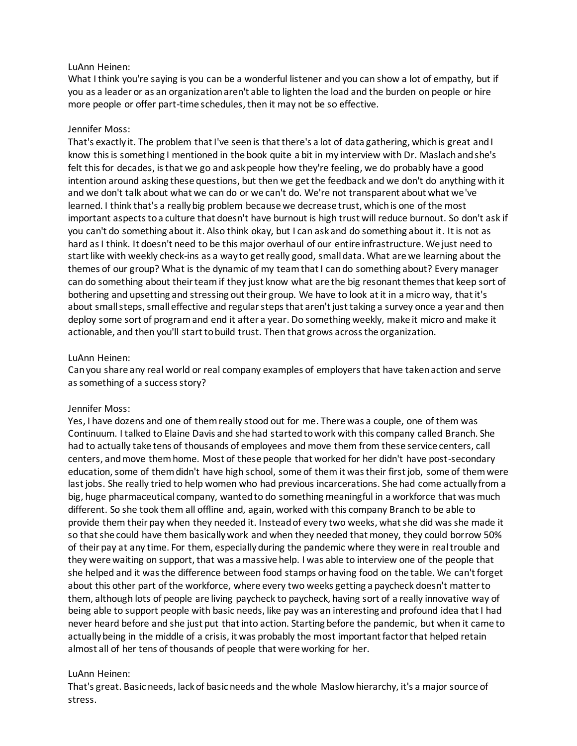## LuAnn Heinen:

What I think you're saying is you can be a wonderful listener and you can show a lot of empathy, but if you as a leader or as an organization aren't able to lighten the load and the burden on people or hire more people or offer part-time schedules, then it may not be so effective.

## Jennifer Moss:

That's exactly it. The problem that I've seen is that there's a lot of data gathering, which is great and I know this is something I mentioned in the book quite a bit in my interview with Dr. Maslachand she's felt this for decades, is that we go and ask people how they're feeling, we do probably have a good intention around asking these questions, but then we get the feedback and we don't do anything with it and we don't talk about what we can do or we can't do. We're not transparent about what we've learned. I think that's a really big problem because we decrease trust, which is one of the most important aspects to a culture that doesn't have burnout is high trust will reduce burnout. So don't ask if you can't do something about it. Also think okay, but I can ask and do something about it. It is not as hard as I think. It doesn't need to be this major overhaul of our entire infrastructure. We just need to start like with weekly check-ins as a way to get really good, small data. What are we learning about the themes of our group? What is the dynamic of my team that I can do something about? Every manager can do something about their teamif they just know what are the big resonant themes that keep sort of bothering and upsetting and stressing out their group. We have to look at it in a micro way, that it's about small steps, small effective and regular steps that aren't just taking a survey once a year and then deploy some sort of program and end it after a year. Do something weekly, make it micro and make it actionable, and then you'll start to build trust. Then that grows across the organization.

## LuAnn Heinen:

Can you share any real world or real company examples of employers that have taken action and serve as something of a success story?

#### Jennifer Moss:

Yes, I have dozens and one of them really stood out for me. There was a couple, one of them was Continuum. I talked to Elaine Davis and she had started to work with this company called Branch. She had to actually take tens of thousands of employees and move them from these service centers, call centers, and move them home. Most of these people that worked for her didn't have post-secondary education, some of them didn't have high school, some of them it was their first job, some of them were last jobs. She really tried to help women who had previous incarcerations. She had come actually from a big, huge pharmaceutical company, wanted to do something meaningful in a workforce that was much different. So she took them all offline and, again, worked with this company Branch to be able to provide them their pay when they needed it. Instead of every two weeks, what she did was she made it so that she could have them basically work and when they needed that money, they could borrow 50% of their pay at any time. For them, especially during the pandemic where they were in real trouble and they were waiting on support, that was a massive help. I was able to interview one of the people that she helped and it was the difference between food stamps or having food on the table. We can't forget about this other part of the workforce, where every two weeks getting a paycheck doesn't matter to them, although lots of people are living paycheck to paycheck, having sort of a really innovative way of being able to support people with basic needs, like pay was an interesting and profound idea that I had never heard before and she just put that into action. Starting before the pandemic, but when it came to actually being in the middle of a crisis, it was probably the most important factor that helped retain almost all of her tens of thousands of people that were working for her.

# LuAnn Heinen:

That's great. Basic needs, lack of basic needs and the whole Maslow hierarchy, it's a major source of stress.